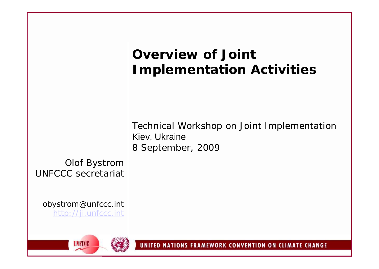|                                                  | <b>Overview of Joint</b><br><b>Implementation Activities</b>                     |  |
|--------------------------------------------------|----------------------------------------------------------------------------------|--|
| <b>Olof Bystrom</b><br><b>UNFCCC</b> secretariat | Technical Workshop on Joint Implementation<br>Kiev, Ukraine<br>8 September, 2009 |  |
| obystrom@unfccc.int<br>http://ji.unfccc.int      |                                                                                  |  |
| <b>UNFCCC</b>                                    | UNITED NATIONS FRAMEWORK CONVENTION ON CLIMATE CHANGE                            |  |

**SALE**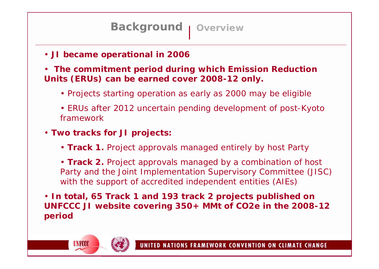## **Background** | Overview

- **JI became operational in 2006**
- **The commitment period during which Emission Reduction Units (ERUs) can be earned cover 2008-12 only.**
	- Projects starting operation as early as 2000 may be eligible
	- ERUs after 2012 uncertain pending development of post-Kyoto framework
- **Two tracks for JI projects:**

**UNFCCC** 

• **Track 1.** Project approvals managed entirely by host Party

• **Track 2.** Project approvals managed by a combination of host Party and the Joint Implementation Supervisory Committee (JISC) with the support of accredited independent entities (AIEs)

• **In total, 65 Track 1 and 193 track 2 projects published on UNFCCC JI website covering 350+ MMt of CO2e in the 2008-12 period**

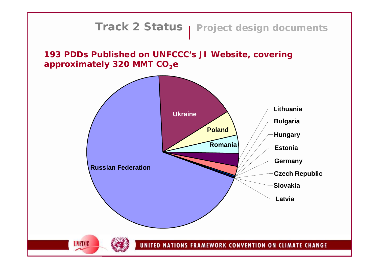# **Track 2 Status** | Project design documents



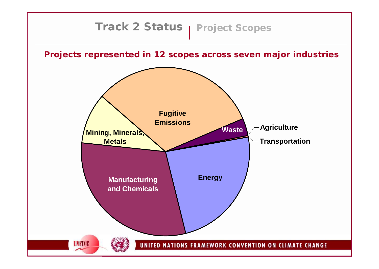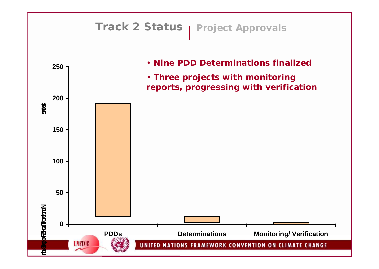# **Track 2 Status** | Project Approvals • **Nine PDD Determinations finalized 250** • **Three projects with monitoring reports, progressing with verification200 STOCE in Signal TodonN**<br>stop **150 100 50** oP2GTodortN **Number of Track Submaries 0 PDDs Determinations Monitoring/ Verification UNFCCC** UNITED NATIONS FRAMEWORK CONVENTION ON CLIMATE CHANGE

₽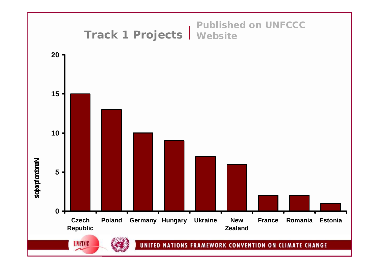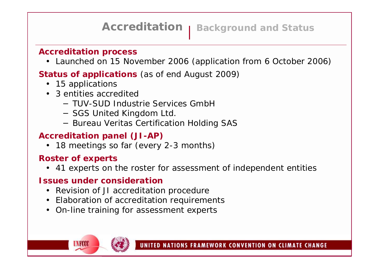## **Accreditation** | Background and Status

#### **Accreditation process**

• Launched on 15 November 2006 (application from 6 October 2006)

### **Status of applications** (as of end August 2009)

- 15 applications
- 3 entities accredited
	- − TUV-SUD Industrie Services GmbH
	- − SGS United Kingdom Ltd.
	- − Bureau Veritas Certification Holding SAS

### **Accreditation panel (JI-AP)**

• 18 meetings so far (every 2-3 months)

#### **Roster of experts**

**UNROO** 

• 41 experts on the roster for assessment of independent entities

#### **Issues under consideration**

- Revision of JI accreditation procedure
- Elaboration of accreditation requirements
- On-line training for assessment experts

UNITED NATIONS FRAMEWORK CONVENTION ON CLIMATE CHANGE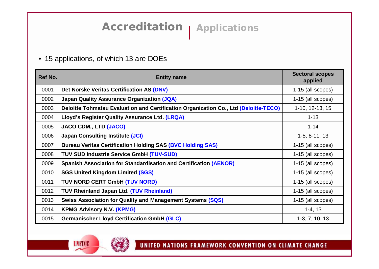#### • 15 applications, of which 13 are DOEs

| Ref No. | <b>Entity name</b>                                                                   | <b>Sectoral scopes</b><br>applied |
|---------|--------------------------------------------------------------------------------------|-----------------------------------|
| 0001    | Det Norske Veritas Certification AS (DNV)                                            | 1-15 (all scopes)                 |
| 0002    | <b>Japan Quality Assurance Organization (JQA)</b>                                    | 1-15 (all scopes)                 |
| 0003    | Deloitte Tohmatsu Evaluation and Certification Organization Co., Ltd (Deloitte-TECO) | 1-10, 12-13, 15                   |
| 0004    | Lloyd's Register Quality Assurance Ltd. (LRQA)                                       | $1 - 13$                          |
| 0005    | JACO CDM., LTD (JACO)                                                                | $1 - 14$                          |
| 0006    | <b>Japan Consulting Institute (JCI)</b>                                              | $1-5, 8-11, 13$                   |
| 0007    | <b>Bureau Veritas Certification Holding SAS (BVC Holding SAS)</b>                    | 1-15 (all scopes)                 |
| 0008    | <b>TUV SUD Industrie Service GmbH (TUV-SUD)</b>                                      | 1-15 (all scopes)                 |
| 0009    | Spanish Association for Standardisation and Certification (AENOR)                    | 1-15 (all scopes)                 |
| 0010    | <b>SGS United Kingdom Limited (SGS)</b>                                              | 1-15 (all scopes)                 |
| 0011    | TUV NORD CERT GmbH (TUV NORD)                                                        | 1-15 (all scopes)                 |
| 0012    | <b>TUV Rheinland Japan Ltd. (TUV Rheinland)</b>                                      | 1-15 (all scopes)                 |
| 0013    | <b>Swiss Association for Quality and Management Systems (SQS)</b>                    | 1-15 (all scopes)                 |
| 0014    | <b>KPMG Advisory N.V. (KPMG)</b>                                                     | $1-4, 13$                         |
| 0015    | <b>Germanischer Lloyd Certification GmbH (GLC)</b>                                   | $1-3, 7, 10, 13$                  |